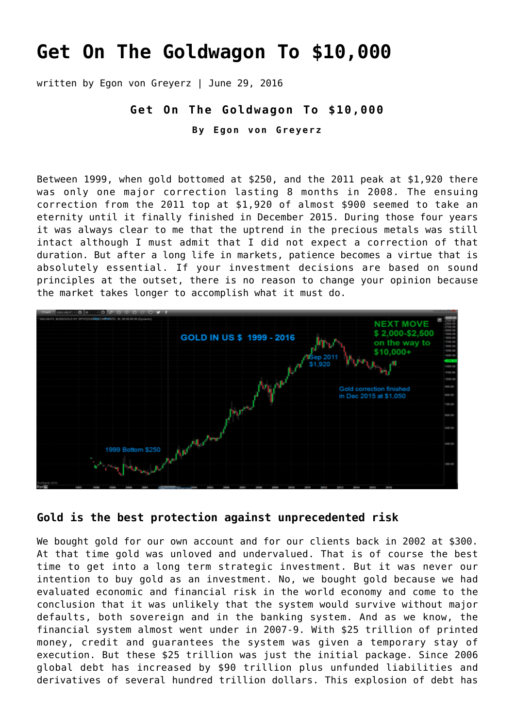# **[Get On The Goldwagon To \\$10,000](https://goldswitzerland.com/get-on-the-goldwagon-to-10000/)**

written by Egon von Greyerz | June 29, 2016

### **Get On The Goldwagon To \$10,000**

**By Egon von Greyerz**

Between 1999, when gold bottomed at \$250, and the 2011 peak at \$1,920 there was only one major correction lasting 8 months in 2008. The ensuing correction from the 2011 top at \$1,920 of almost \$900 seemed to take an eternity until it finally finished in December 2015. During those four years it was always clear to me that the uptrend in the precious metals was still intact although I must admit that I did not expect a correction of that duration. But after a long life in markets, patience becomes a virtue that is absolutely essential. If your investment decisions are based on sound principles at the outset, there is no reason to change your opinion because the market takes longer to accomplish what it must do.



## **Gold is the best protection against unprecedented risk**

We bought gold for our own account and for our clients back in 2002 at \$300. At that time gold was unloved and undervalued. That is of course the best time to get into a long term strategic investment. But it was never our intention to buy gold as an investment. No, we bought gold because we had evaluated economic and financial risk in the world economy and come to the conclusion that it was unlikely that the system would survive without major defaults, both sovereign and in the banking system. And as we know, the financial system almost went under in 2007-9. With \$25 trillion of printed money, credit and guarantees the system was given a temporary stay of execution. But these \$25 trillion was just the initial package. Since 2006 global debt has increased by \$90 trillion plus unfunded liabilities and derivatives of several hundred trillion dollars. This explosion of debt has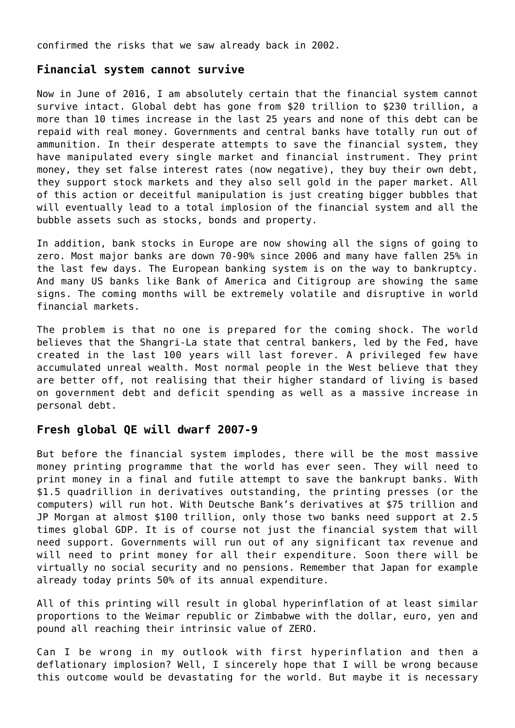confirmed the risks that we saw already back in 2002.

#### **Financial system cannot survive**

Now in June of 2016, I am absolutely certain that the financial system cannot survive intact. Global debt has gone from \$20 trillion to \$230 trillion, a more than 10 times increase in the last 25 years and none of this debt can be repaid with real money. Governments and central banks have totally run out of ammunition. In their desperate attempts to save the financial system, they have manipulated every single market and financial instrument. They print money, they set false interest rates (now negative), they buy their own debt, they support stock markets and they also sell gold in the paper market. All of this action or deceitful manipulation is just creating bigger bubbles that will eventually lead to a total implosion of the financial system and all the bubble assets such as stocks, bonds and property.

In addition, bank stocks in Europe are now showing all the signs of going to zero. Most major banks are down 70-90% since 2006 and many have fallen 25% in the last few days. The European banking system is on the way to bankruptcy. And many US banks like Bank of America and Citigroup are showing the same signs. The coming months will be extremely volatile and disruptive in world financial markets.

The problem is that no one is prepared for the coming shock. The world believes that the Shangri-La state that central bankers, led by the Fed, have created in the last 100 years will last forever. A privileged few have accumulated unreal wealth. Most normal people in the West believe that they are better off, not realising that their higher standard of living is based on government debt and deficit spending as well as a massive increase in personal debt.

## **Fresh global QE will dwarf 2007-9**

But before the financial system implodes, there will be the most massive money printing programme that the world has ever seen. They will need to print money in a final and futile attempt to save the bankrupt banks. With \$1.5 quadrillion in derivatives outstanding, the printing presses (or the computers) will run hot. With Deutsche Bank's derivatives at \$75 trillion and JP Morgan at almost \$100 trillion, only those two banks need support at 2.5 times global GDP. It is of course not just the financial system that will need support. Governments will run out of any significant tax revenue and will need to print money for all their expenditure. Soon there will be virtually no social security and no pensions. Remember that Japan for example already today prints 50% of its annual expenditure.

All of this printing will result in global hyperinflation of at least similar proportions to the Weimar republic or Zimbabwe with the dollar, euro, yen and pound all reaching their intrinsic value of ZERO.

Can I be wrong in my outlook with first hyperinflation and then a deflationary implosion? Well, I sincerely hope that I will be wrong because this outcome would be devastating for the world. But maybe it is necessary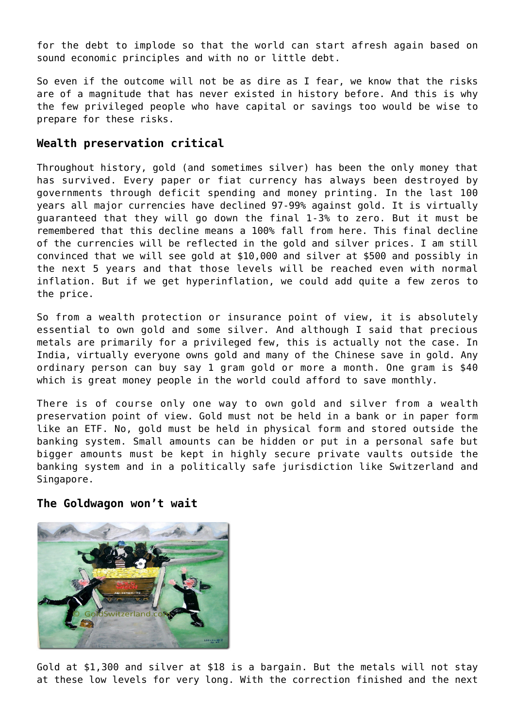for the debt to implode so that the world can start afresh again based on sound economic principles and with no or little debt.

So even if the outcome will not be as dire as I fear, we know that the risks are of a magnitude that has never existed in history before. And this is why the few privileged people who have capital or savings too would be wise to prepare for these risks.

## **Wealth preservation critical**

Throughout history, gold (and sometimes silver) has been the only money that has survived. Every paper or fiat currency has always been destroyed by governments through deficit spending and money printing. In the last 100 years all major currencies have declined 97-99% against gold. It is virtually guaranteed that they will go down the final 1-3% to zero. But it must be remembered that this decline means a 100% fall from here. This final decline of the currencies will be reflected in the gold and silver prices. I am still convinced that we will see gold at \$10,000 and silver at \$500 and possibly in the next 5 years and that those levels will be reached even with normal inflation. But if we get hyperinflation, we could add quite a few zeros to the price.

So from a wealth protection or insurance point of view, it is absolutely essential to own gold and some silver. And although I said that precious metals are primarily for a privileged few, this is actually not the case. In India, virtually everyone owns gold and many of the Chinese save in gold. Any ordinary person can buy say 1 gram gold or more a month. One gram is \$40 which is great money people in the world could afford to save monthly.

There is of course only one way to own gold and silver from a wealth preservation point of view. Gold must not be held in a bank or in paper form like an ETF. No, gold must be held in physical form and stored outside the banking system. Small amounts can be hidden or put in a personal safe but bigger amounts must be kept in highly secure private vaults outside the banking system and in a politically safe jurisdiction like Switzerland and Singapore.

#### **The Goldwagon won't wait**



Gold at \$1,300 and silver at \$18 is a bargain. But the metals will not stay at these low levels for very long. With the correction finished and the next